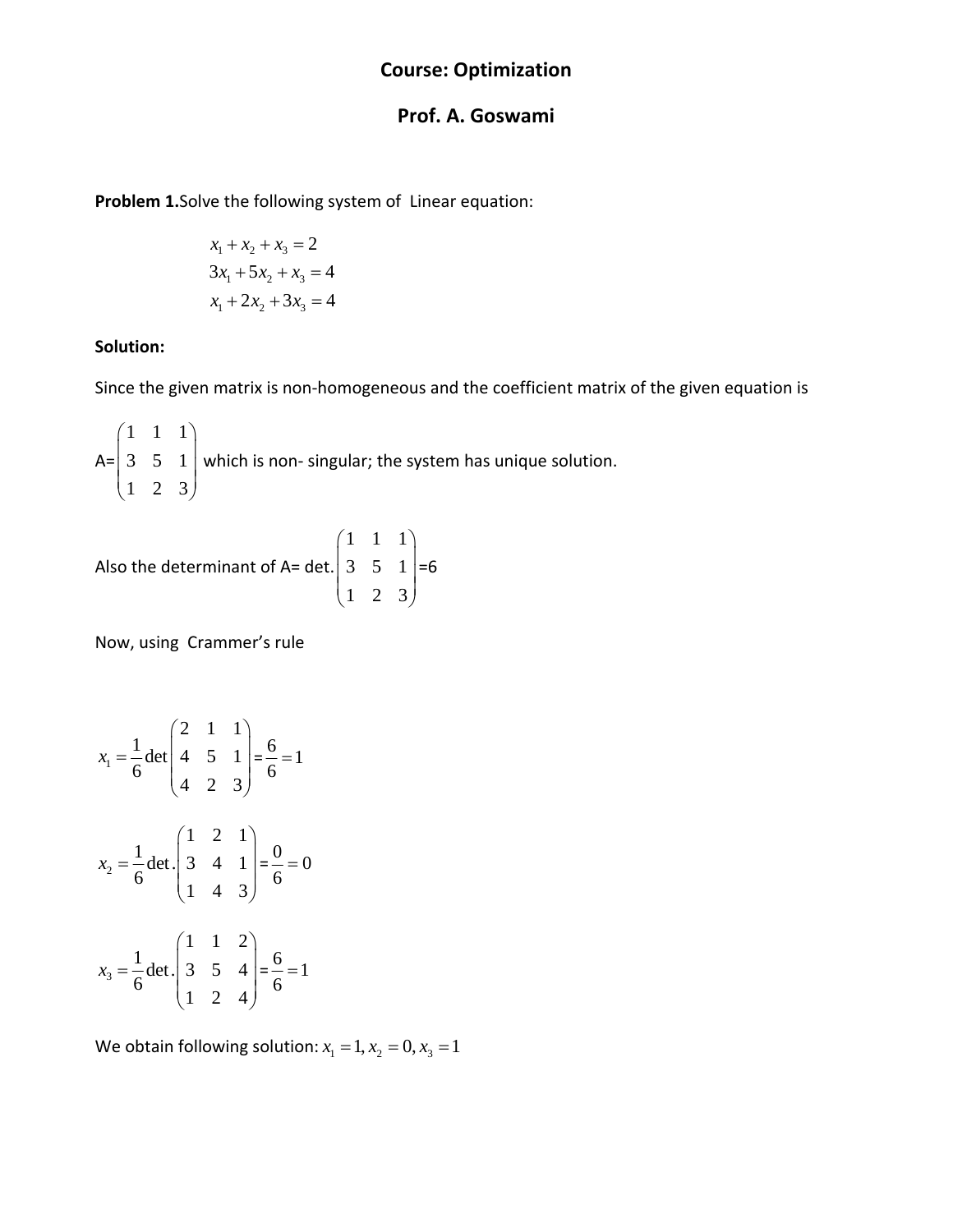# **Course: Optimization**

### **Prof. A. Goswami**

**Problem 1.**Solve the following system of Linear equation:

$$
x_1 + x_2 + x_3 = 2
$$
  
\n
$$
3x_1 + 5x_2 + x_3 = 4
$$
  
\n
$$
x_1 + 2x_2 + 3x_3 = 4
$$

#### **Solution:**

Since the given matrix is non‐homogeneous and the coefficient matrix of the given equation is

A= 111 351 123  $\begin{pmatrix} 1 & 1 & 1 \\ 2 & 5 & 1 \end{pmatrix}$  $\begin{pmatrix} 3 & 5 & 1 \\ 1 & 2 & 3 \end{pmatrix}$  which is non-singular; the system has unique solution.

Also the determinant of A= det. 
$$
\begin{pmatrix} 1 & 1 & 1 \ 3 & 5 & 1 \ 1 & 2 & 3 \end{pmatrix} = 6
$$

Now, using Crammer's rule

1 211  $\frac{1}{2}$  det  $\begin{vmatrix} 4 & 5 & 1 \end{vmatrix}$ 6 423 *x*  $=\frac{1}{6}$  det  $\begin{pmatrix} 2 & 1 & 1 \\ 4 & 5 & 1 \\ 4 & 2 & 3 \end{pmatrix}$  $=\frac{6}{6} = 1$ 2 121  $\frac{1}{-}$ det. 3 4 1 6 143 *x*  $=\frac{1}{6}$ det.  $\begin{pmatrix} 1 & 2 & 1 \\ 3 & 4 & 1 \\ 1 & 4 & 3 \end{pmatrix}$  $=\frac{0}{6} = 0$ 3 112  $\frac{1}{2}$ det. 3 5 4 6 124 *x*  $=\frac{1}{6}$  det.  $\begin{pmatrix} 1 & 1 & 2 \\ 3 & 5 & 4 \\ 1 & 2 & 4 \end{pmatrix}$  $=\frac{6}{6} = 1$ 

We obtain following solution:  $x_1 = 1, x_2 = 0, x_3 = 1$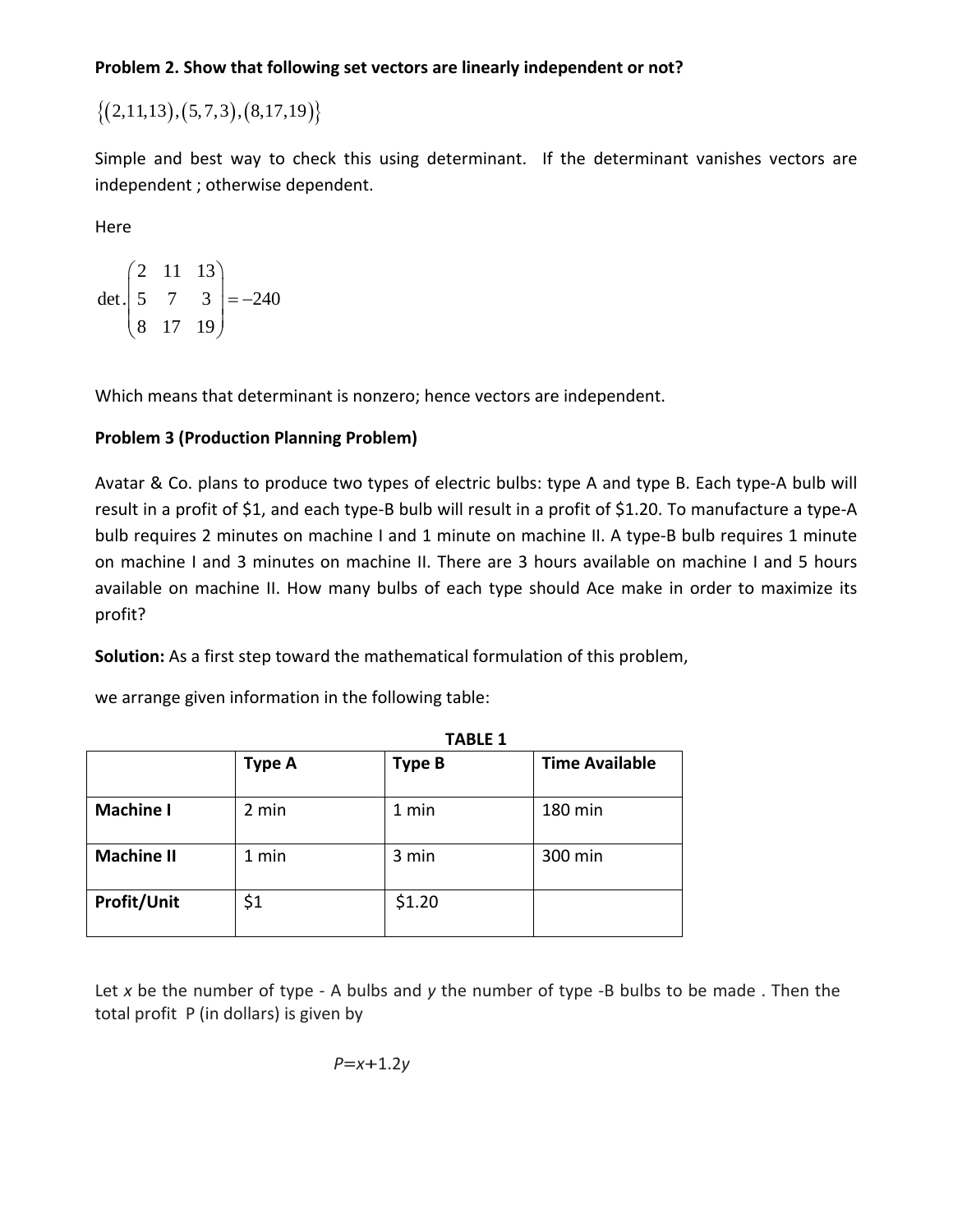# **Problem 2. Show that following set vectors are linearly independent or not?**

 $\{(2,11,13), (5,7,3), (8,17,19)\}$ 

Simple and best way to check this using determinant. If the determinant vanishes vectors are independent ; otherwise dependent.

Here

$$
\det \begin{pmatrix} 2 & 11 & 13 \\ 5 & 7 & 3 \\ 8 & 17 & 19 \end{pmatrix} = -240
$$

Which means that determinant is nonzero; hence vectors are independent.

# **Problem 3 (Production Planning Problem)**

Avatar & Co. plans to produce two types of electric bulbs: type A and type B. Each type‐A bulb will result in a profit of \$1, and each type‐B bulb will result in a profit of \$1.20. To manufacture a type‐A bulb requires 2 minutes on machine I and 1 minute on machine II. A type-B bulb requires 1 minute on machine I and 3 minutes on machine II. There are 3 hours available on machine I and 5 hours available on machine II. How many bulbs of each type should Ace make in order to maximize its profit?

**TABLE 1**

**Solution:** As a first step toward the mathematical formulation of this problem,

we arrange given information in the following table:

|                   | . ruli 1      |               |                       |  |  |  |  |  |  |  |  |
|-------------------|---------------|---------------|-----------------------|--|--|--|--|--|--|--|--|
|                   | <b>Type A</b> | <b>Type B</b> | <b>Time Available</b> |  |  |  |  |  |  |  |  |
| <b>Machine I</b>  | 2 min         | 1 min         | 180 min               |  |  |  |  |  |  |  |  |
| <b>Machine II</b> | 1 min         | 3 min         | 300 min               |  |  |  |  |  |  |  |  |
| Profit/Unit       | \$1           | \$1.20        |                       |  |  |  |  |  |  |  |  |

Let *x* be the number of type ‐ A bulbs and *y* the number of type ‐B bulbs to be made . Then the total profit P (in dollars) is given by

$$
P = x + 1.2y
$$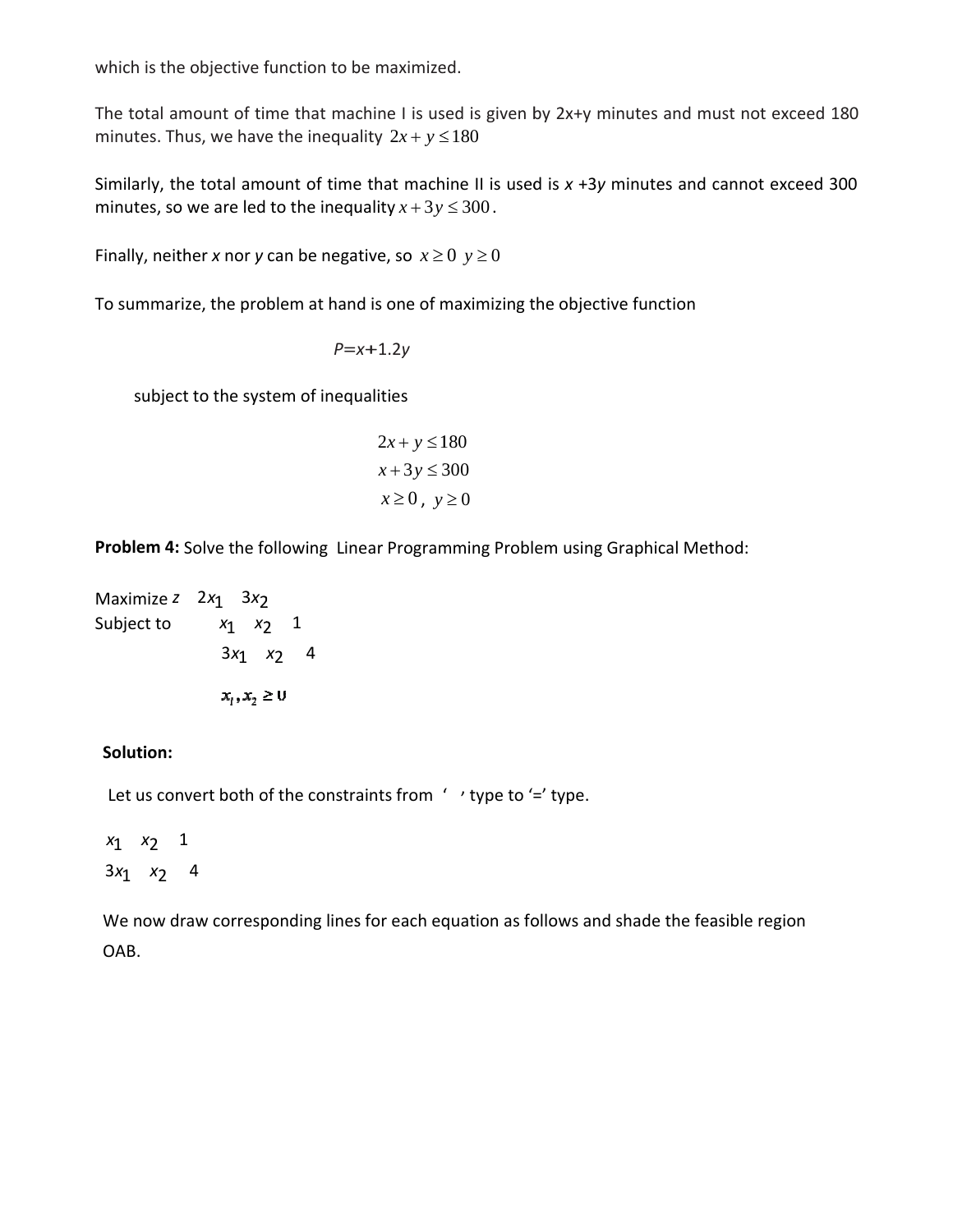which is the objective function to be maximized.

The total amount of time that machine I is used is given by 2x+y minutes and must not exceed 180 minutes. Thus, we have the inequality  $2x + y \le 180$ 

Similarly, the total amount of time that machine II is used is x +3y minutes and cannot exceed 300 minutes, so we are led to the inequality  $x + 3y \le 300$ .

Finally, neither x nor y can be negative, so  $x \ge 0$   $y \ge 0$ 

To summarize, the problem at hand is one of maximizing the objective function

$$
P = x + 1.2y
$$

subject to the system of inequalities

$$
2x + y \le 180
$$

$$
x + 3y \le 300
$$

$$
x \ge 0, y \ge 0
$$

Problem 4: Solve the following Linear Programming Problem using Graphical Method:

Maximize *z* 2*x*1 3*x*2 Subject to *x*1 *x*2 1 3*x*1 *x* 2 4  $x_1, x_2 \ge 0$ 

### **Solution:**

Let us convert both of the constraints from  $\prime\prime$   $\prime$  type to  $\prime$ = $\prime$  type.

*x*1 *x*2 1 3*x*1 *x*2 4

We now draw corresponding lines for each equation as follows and shade the feasible region OAB.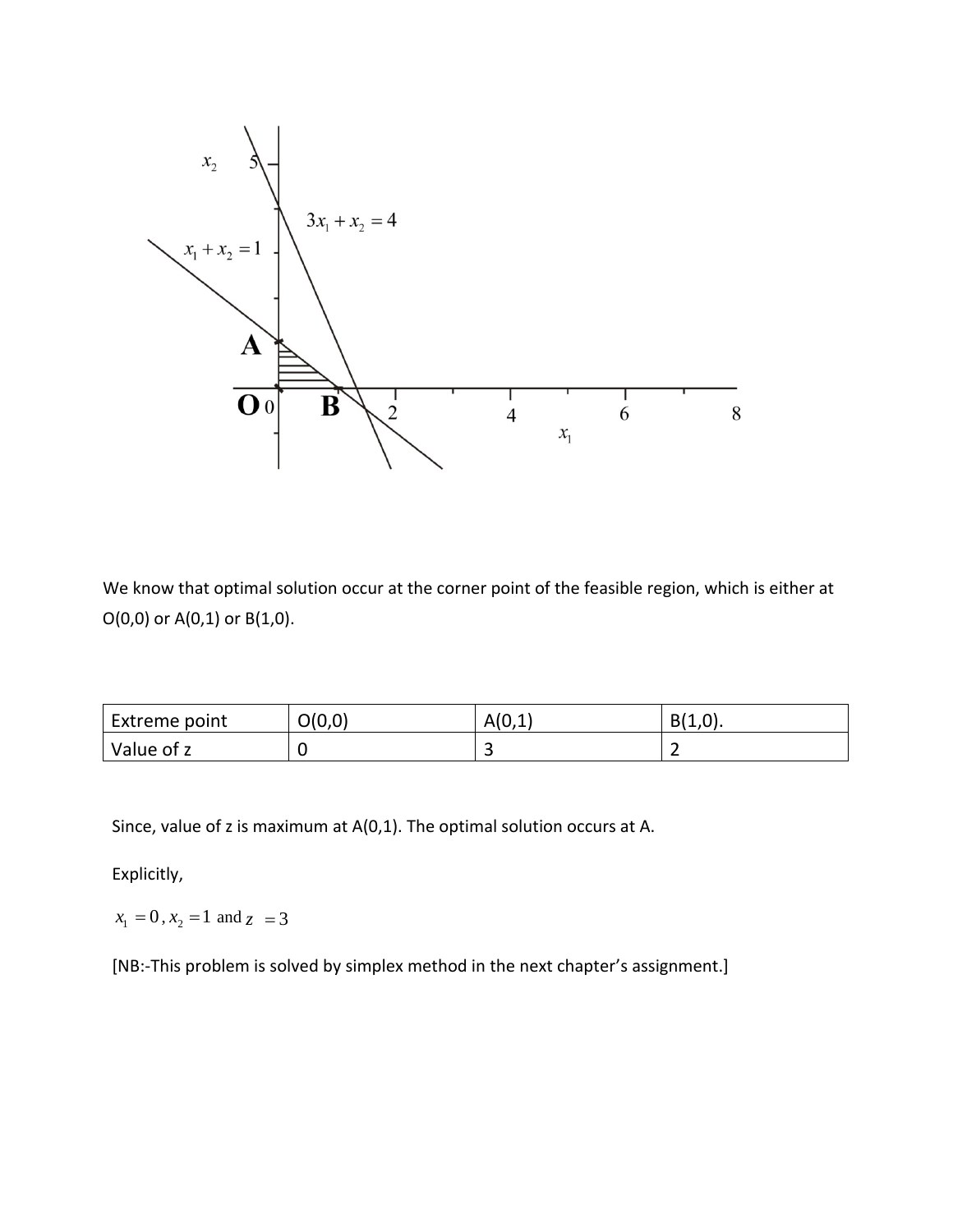

We know that optimal solution occur at the corner point of the feasible region, which is either at O(0,0) or A(0,1) or B(1,0).

| Extreme point | O(0,0) | A(0,1) | $B(1,0)$ . |
|---------------|--------|--------|------------|
| Value of z    |        | -<br>ے |            |

Since, value of z is maximum at A(0,1). The optimal solution occurs at A.

Explicitly,

 $x_1 = 0, x_2 = 1$  and  $z = 3$ 

[NB:-This problem is solved by simplex method in the next chapter's assignment.]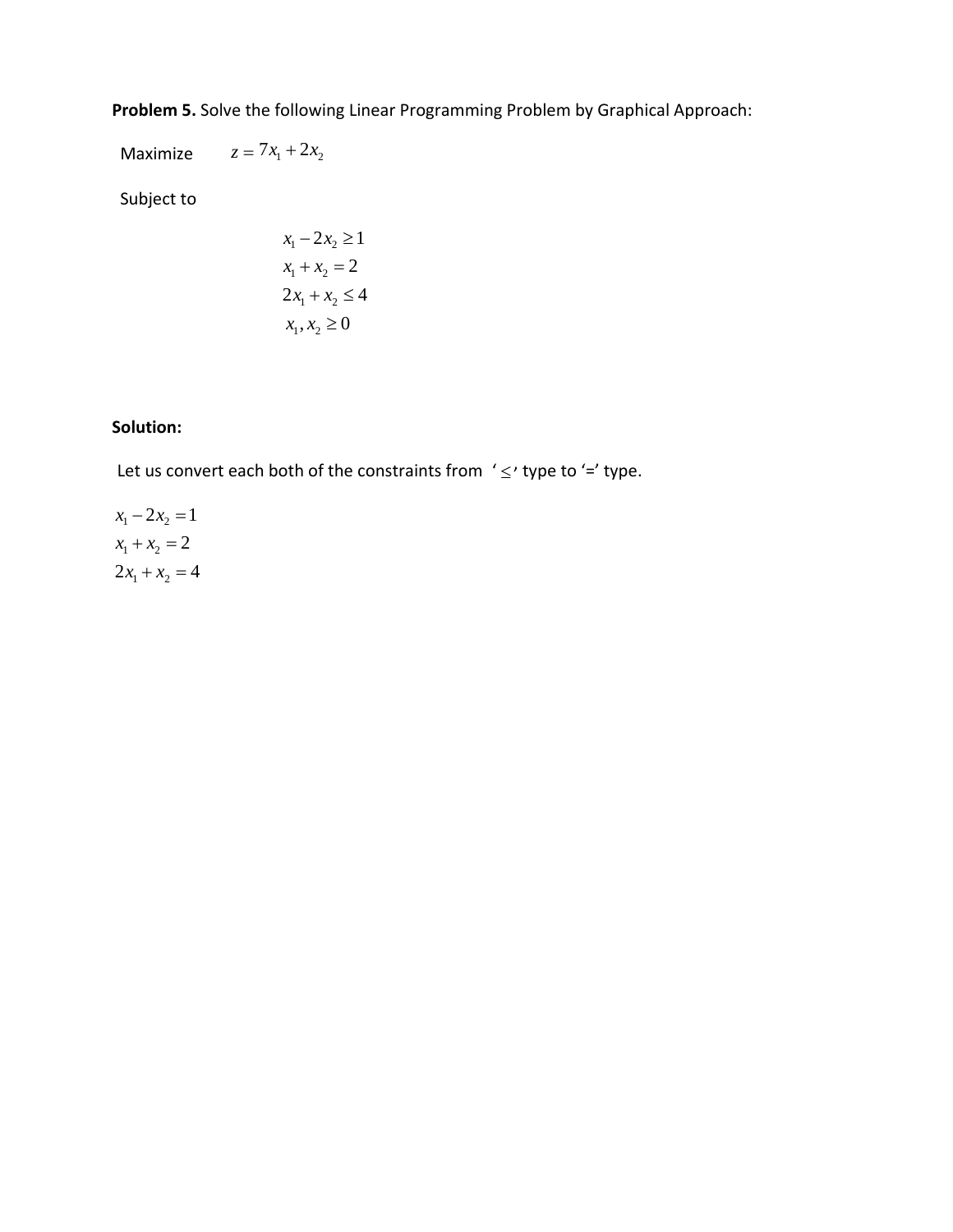**Problem 5.** Solve the following Linear Programming Problem by Graphical Approach:

Maximize  $z = 7x_1 + 2x_2$ 

Subject to

$$
x_1 - 2x_2 \ge 1
$$
  

$$
x_1 + x_2 = 2
$$
  

$$
2x_1 + x_2 \le 4
$$
  

$$
x_1, x_2 \ge 0
$$

# **Solution:**

Let us convert each both of the constraints from  $\leq$  type to  $\leq$  type.

 $x_1 - 2x_2 = 1$  $x_1 + x_2 = 2$  $2x_1 + x_2 = 4$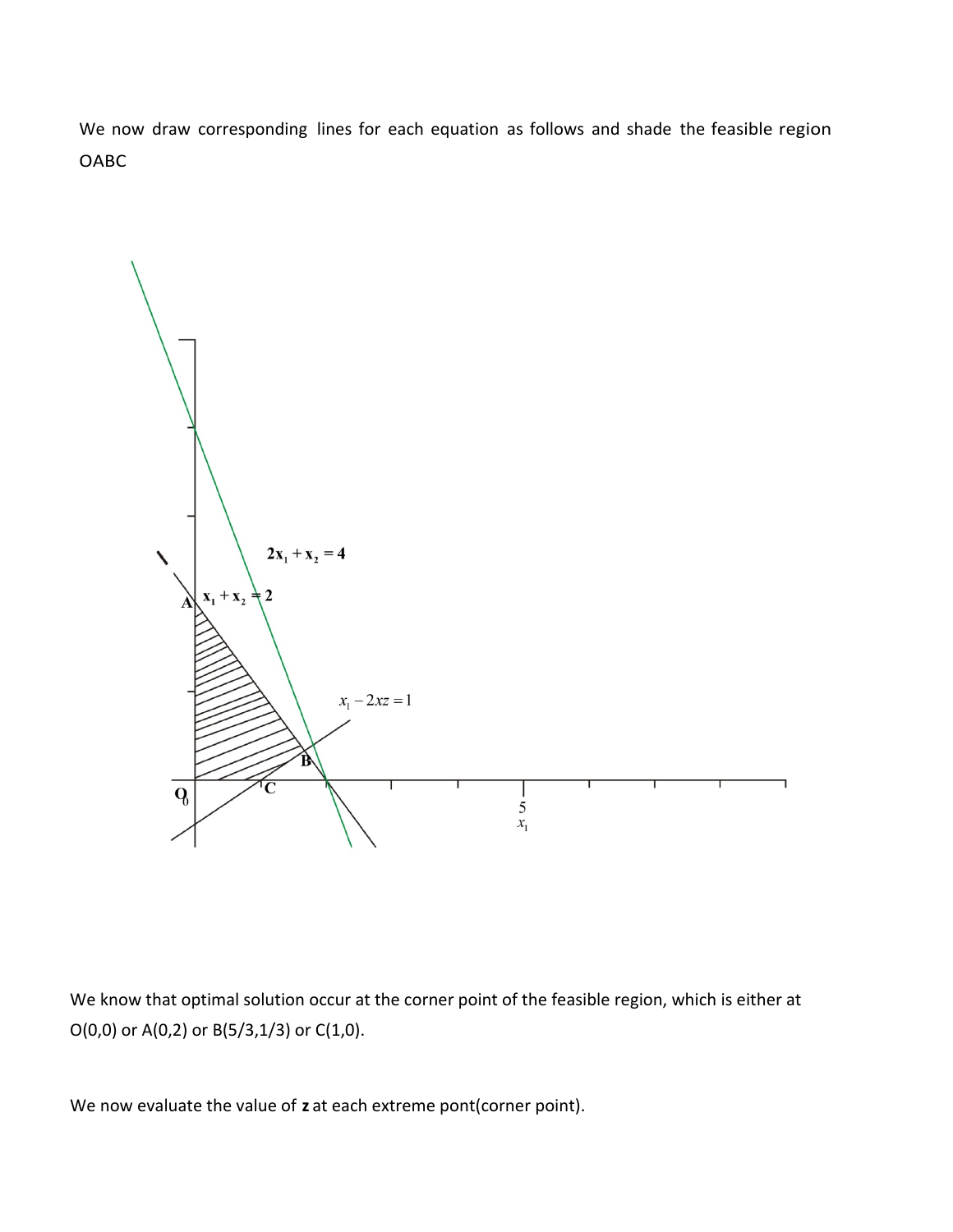We now draw corresponding lines for each equation as follows and shade the feasible region OABC



We know that optimal solution occur at the corner point of the feasible region, which is either at O(0,0) or A(0,2) or B(5/3,1/3) or C(1,0).

We now evaluate the value of **z** at each extreme pont(corner point).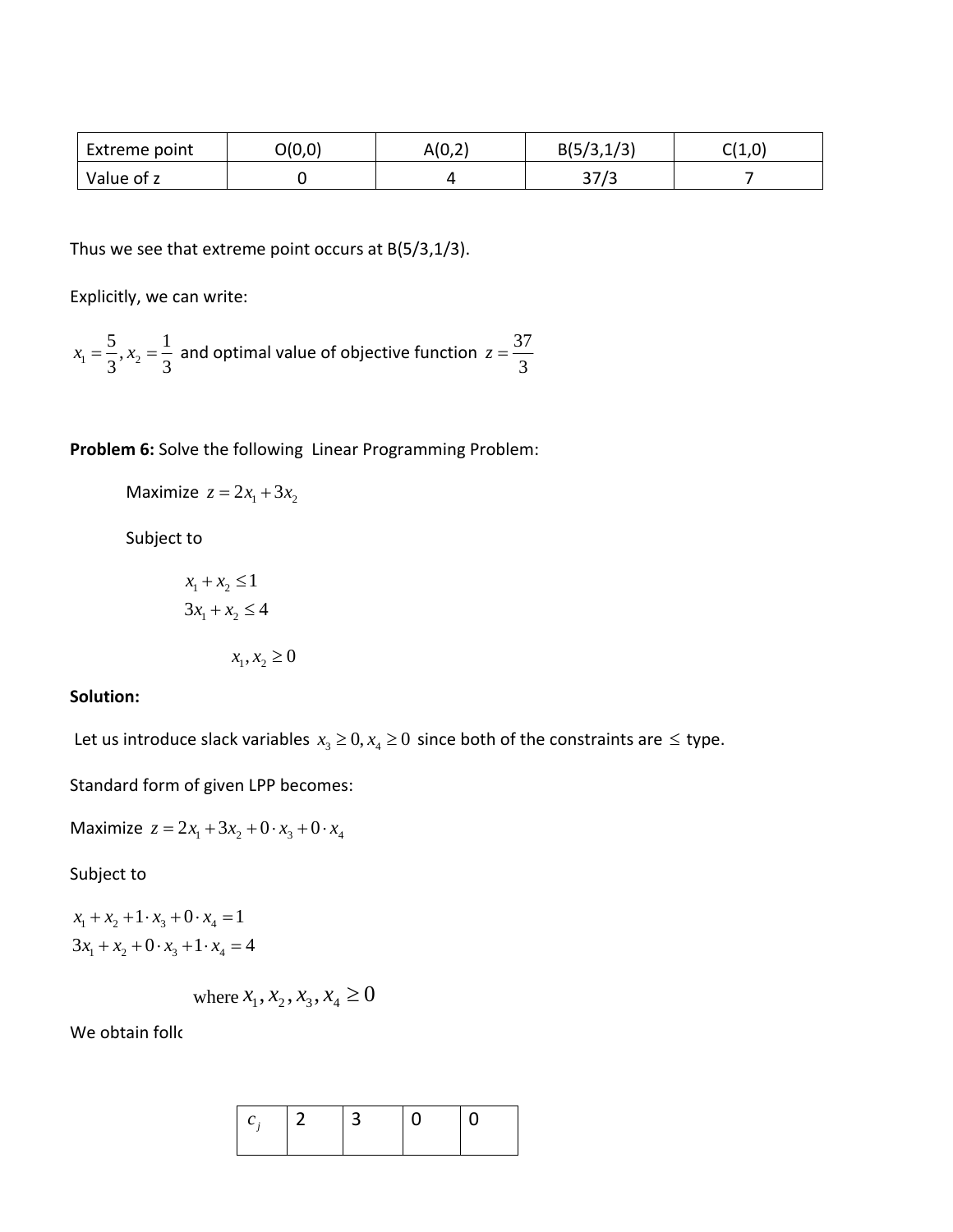| Extreme point | O(0,0) | A(0,2) | B(5/3, 1/3) | C(1,0) |
|---------------|--------|--------|-------------|--------|
| Value of z    |        |        | 37/3        |        |

Thus we see that extreme point occurs at B(5/3,1/3).

Explicitly, we can write:

$$
x_1 = \frac{5}{3}
$$
,  $x_2 = \frac{1}{3}$  and optimal value of objective function  $z = \frac{37}{3}$ 

**Problem 6:** Solve the following Linear Programming Problem:

Maximize  $z = 2x_1 + 3x_2$ 

Subject to

$$
x_1 + x_2 \le 1
$$

$$
3x_1 + x_2 \le 4
$$

$$
x_1, x_2 \ge 0
$$

### **Solution:**

Let us introduce slack variables  $x_3 \geq 0, x_4 \geq 0$  since both of the constraints are  $\leq$  type.

Standard form of given LPP becomes:

Maximize  $z = 2x_1 + 3x_2 + 0 \cdot x_3 + 0 \cdot x_4$ 

Subject to

 $x_1 + x_2 + 1 \cdot x_3 + 0 \cdot x_4 = 1$  $3x_1 + x_2 + 0 \cdot x_3 + 1 \cdot x_4 = 4$ 

where 
$$
x_1, x_2, x_3, x_4 \ge 0
$$

We obtain follo

| $\Box$ | 13. | $\Omega$ | $\Box$ |
|--------|-----|----------|--------|
|        |     |          |        |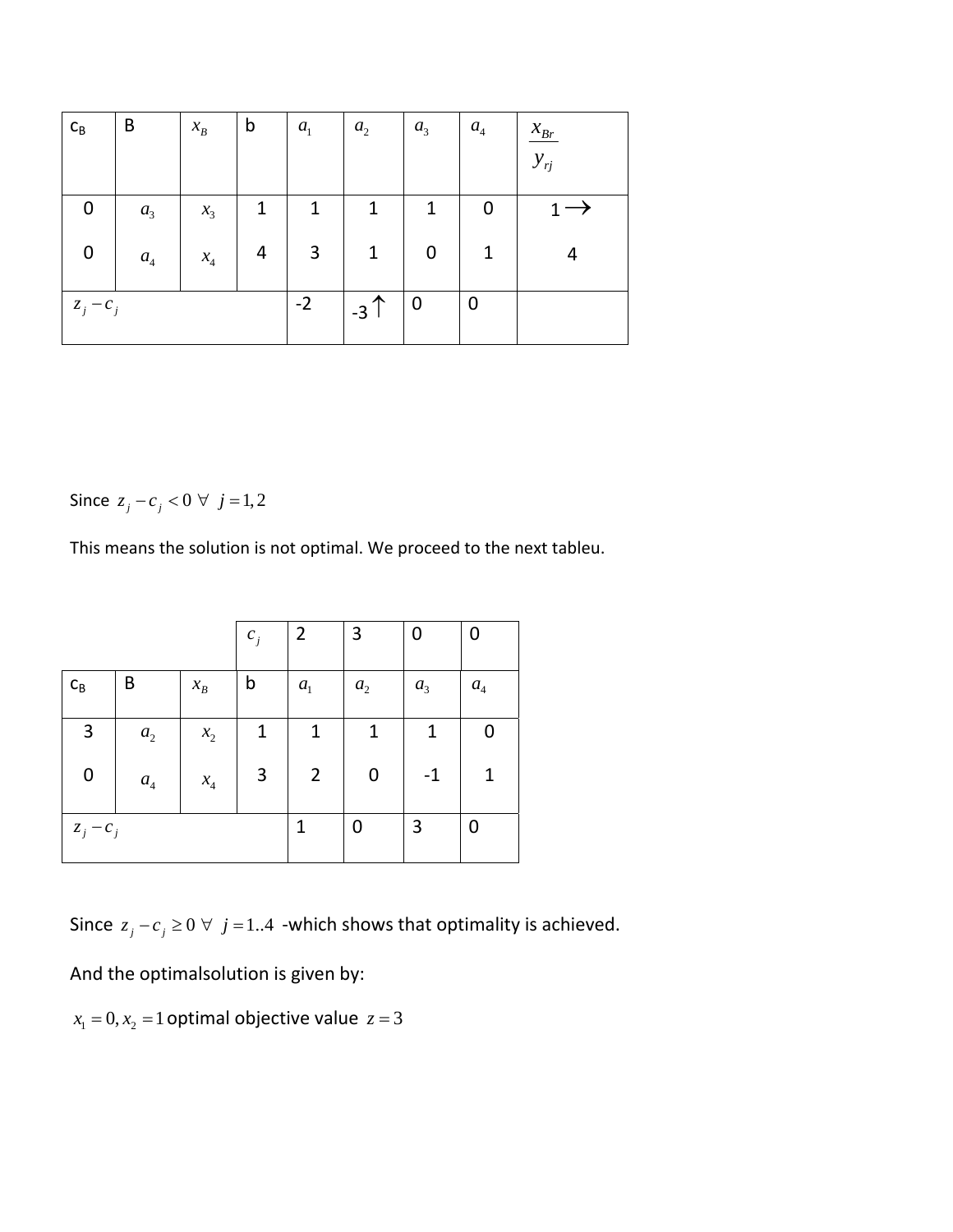| $C_B$       | B                  | $x_{B}$         | $\mathsf b$    | $a_{1}$      | $a_2$             | a <sub>3</sub>   | $a_4$            | $\frac{\mathcal{X}_{Br}}{2}$ |
|-------------|--------------------|-----------------|----------------|--------------|-------------------|------------------|------------------|------------------------------|
|             |                    |                 |                |              |                   |                  |                  | $y_{rj}$                     |
| 0           | a <sub>3</sub>     | $x_3$           | 1              | $\mathbf{1}$ | $\mathbf{1}$      | $\mathbf{1}$     | 0                |                              |
| $\pmb{0}$   | $\boldsymbol{a}_4$ | $\mathcal{X}_4$ | $\overline{4}$ | $\mathbf{3}$ | $\mathbf{1}$      | $\boldsymbol{0}$ | $\mathbf{1}$     |                              |
| $z_j - c_j$ |                    |                 |                | $-2$         | $-3$ <sup>↑</sup> | $\boldsymbol{0}$ | $\boldsymbol{0}$ |                              |

Since  $z_j - c_j < 0 \ \forall \ j = 1, 2$ 

This means the solution is not optimal. We proceed to the next tableu.

|             |                  |                            | $c_{j}$        | $\overline{2}$ | 3       | 0              | 0       |
|-------------|------------------|----------------------------|----------------|----------------|---------|----------------|---------|
| $C_B$       | B                | $x_{B}$                    | b              | $a_{1}$        | $a_{2}$ | a <sub>3</sub> | $a_{4}$ |
| 3           | a <sub>2</sub>   | $x_{2}$                    | 1              | 1              | 1       | 1              |         |
| 0           | $\mathfrak{a}_4$ | $x_{\scriptscriptstyle 4}$ | $\overline{3}$ | $\overline{2}$ | 0       | $-1$           | 1       |
| $z_j - c_j$ |                  |                            |                | 1              | 0       | 3              | 0       |

Since  $z_j - c_j \ge 0 \ \forall \ j = 1..4$  -which shows that optimality is achieved.

And the optimalsolution is given by:

 $x_1 = 0, x_2 = 1$  optimal objective value  $z = 3$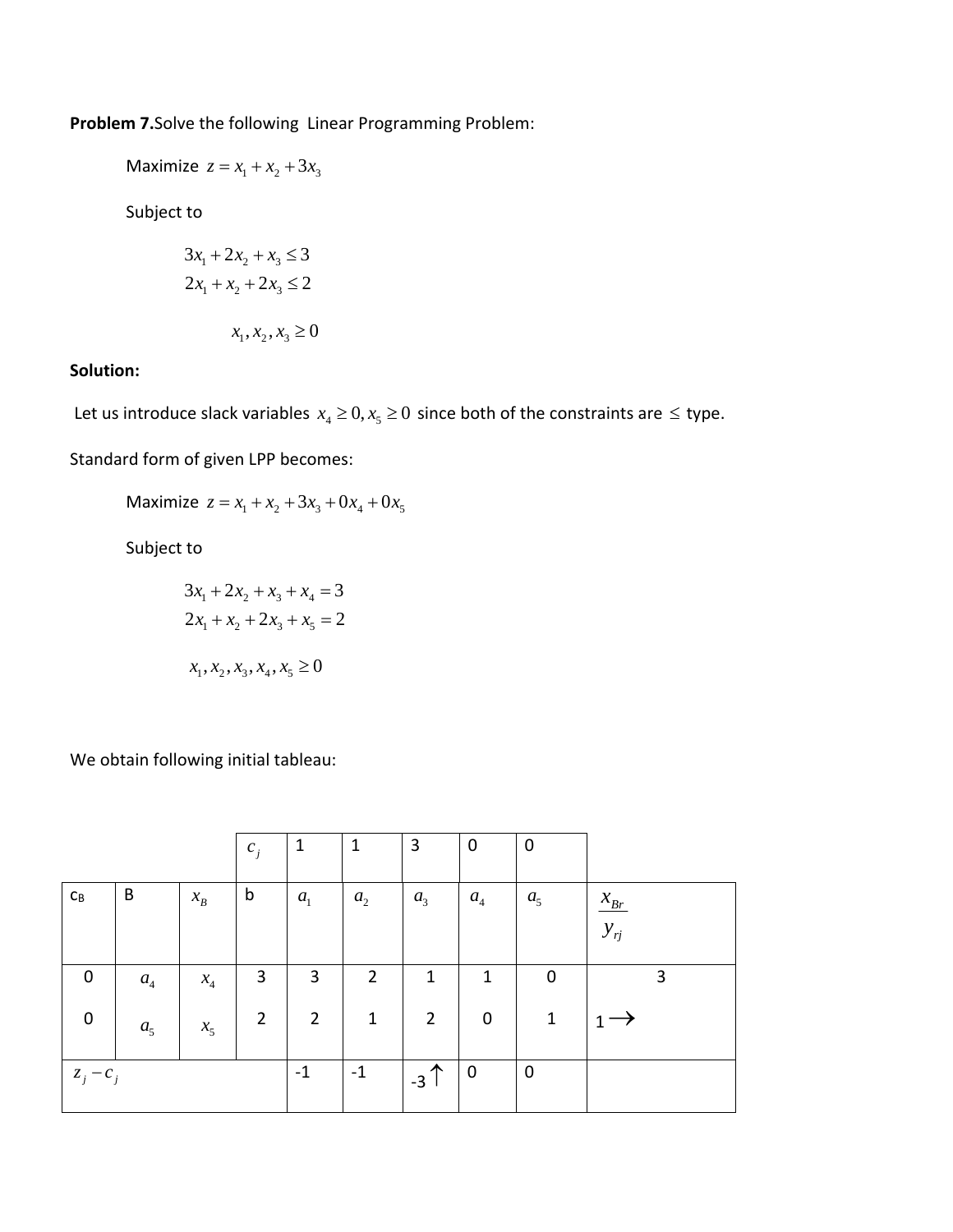**Problem 7.**Solve the following Linear Programming Problem:

Maximize  $z = x_1 + x_2 + 3x_3$ 

Subject to

$$
3x_1 + 2x_2 + x_3 \le 3
$$
  

$$
2x_1 + x_2 + 2x_3 \le 2
$$
  

$$
x_1, x_2, x_3 \ge 0
$$

# **Solution:**

Let us introduce slack variables  $x_4 \geq 0, x_5 \geq 0$  since both of the constraints are  $\leq$  type.

Standard form of given LPP becomes:

Maximize  $z = x_1 + x_2 + 3x_3 + 0x_4 + 0x_5$ 

Subject to

$$
3x_1 + 2x_2 + x_3 + x_4 = 3
$$
  

$$
2x_1 + x_2 + 2x_3 + x_5 = 2
$$
  

$$
x_1, x_2, x_3, x_4, x_5 \ge 0
$$

We obtain following initial tableau:

|                           |                |                 | $c_j$          | $\mathbf{1}$   | $\mathbf{1}$   | 3              | $\mathbf 0$      | 0              |                      |
|---------------------------|----------------|-----------------|----------------|----------------|----------------|----------------|------------------|----------------|----------------------|
| $\mathsf{C}_{\mathsf{B}}$ | B              | $x_B$           | b              | $a_{1}$        | a <sub>2</sub> | a <sub>3</sub> | $a_4$            | a <sub>5</sub> | $x_{Br}$<br>$y_{rj}$ |
| $\boldsymbol{0}$          | $a_4$          | $\mathcal{X}_4$ | 3              | 3              | $\overline{2}$ | $\mathbf{1}$   | $\mathbf{1}$     | $\mathbf 0$    | 3                    |
| $\mathbf 0$               | a <sub>5</sub> | $x_{5}$         | $\overline{2}$ | $\overline{2}$ | $\mathbf{1}$   | $\overline{2}$ | $\boldsymbol{0}$ | $\mathbf{1}$   |                      |
| $z_j - c_j$               |                |                 |                | $-1$           | $-1$           | $-3$           | $\mathbf 0$      | $\mathbf 0$    |                      |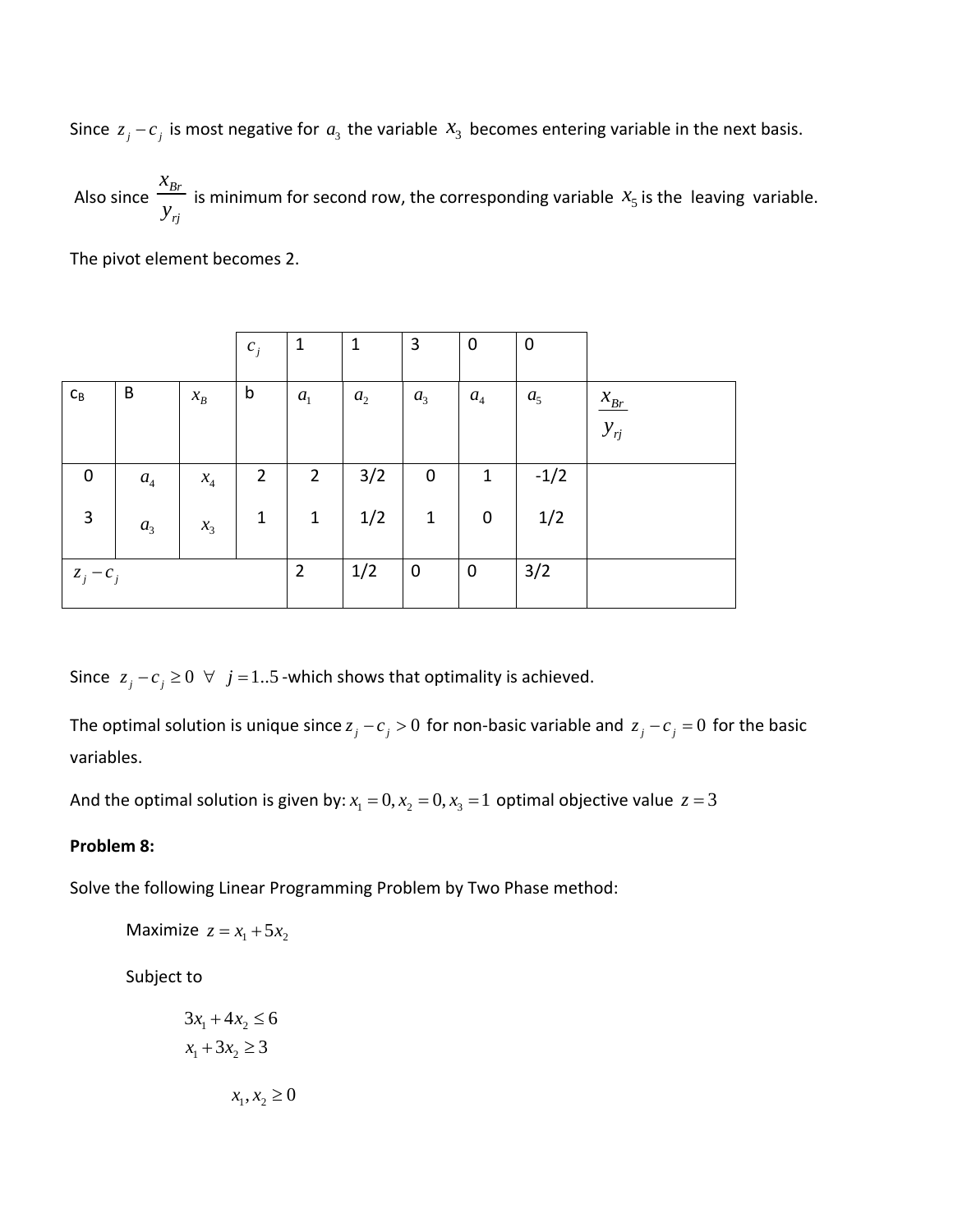Since  $z_j - c_j$  is most negative for  $a_3$  the variable  $x_3$  becomes entering variable in the next basis.

Also since  $\frac{x_{Br}}{a}$ *rj x*  $\frac{v_{Br}}{y_{ri}}$  is minimum for second row, the corresponding variable  $x_5$  is the leaving variable.

The pivot element becomes 2.

|                           |                  |                              | $c_j$          | $\mathbf{1}$   | $\mathbf{1}$   | 3              | $\boldsymbol{0}$ | $\mathbf 0$    |                              |
|---------------------------|------------------|------------------------------|----------------|----------------|----------------|----------------|------------------|----------------|------------------------------|
| $\mathsf{C}_{\mathsf{B}}$ | B                | $x_B$                        | $\mathsf b$    | $a_{1}$        | a <sub>2</sub> | $a_3$          | $a_4$            | a <sub>5</sub> | $\frac{\mathcal{X}_{Br}}{2}$ |
|                           |                  |                              |                |                |                |                |                  |                | $y_{rj}$                     |
| 0                         | $\mathfrak{a}_4$ | $\boldsymbol{\mathcal{X}}_4$ | $\overline{2}$ | $\overline{2}$ | 3/2            | 0              | $\mathbf{1}$     | $-1/2$         |                              |
| 3                         | a <sub>3</sub>   | $x_3$                        | $\mathbf{1}$   | $1\,$          | 1/2            | $\mathbf{1}$   | $\pmb{0}$        | 1/2            |                              |
| $z_j - c_j$               |                  |                              |                | $\overline{2}$ | 1/2            | $\overline{0}$ | $\pmb{0}$        | 3/2            |                              |

Since  $z_j - c_j \ge 0 \ \ \forall \ \ j = 1..5$  -which shows that optimality is achieved.

The optimal solution is unique since  $z_j - c_j > 0$  for non-basic variable and  $z_j - c_j = 0$  for the basic variables.

And the optimal solution is given by:  $x_1 = 0, x_2 = 0, x_3 = 1$  optimal objective value  $z = 3$ 

#### **Problem 8:**

Solve the following Linear Programming Problem by Two Phase method:

$$
Maximize z = x_1 + 5x_2
$$

Subject to

$$
3x_1 + 4x_2 \le 6
$$
  

$$
x_1 + 3x_2 \ge 3
$$
  

$$
x_1, x_2 \ge 3
$$

 ${\bf 0}$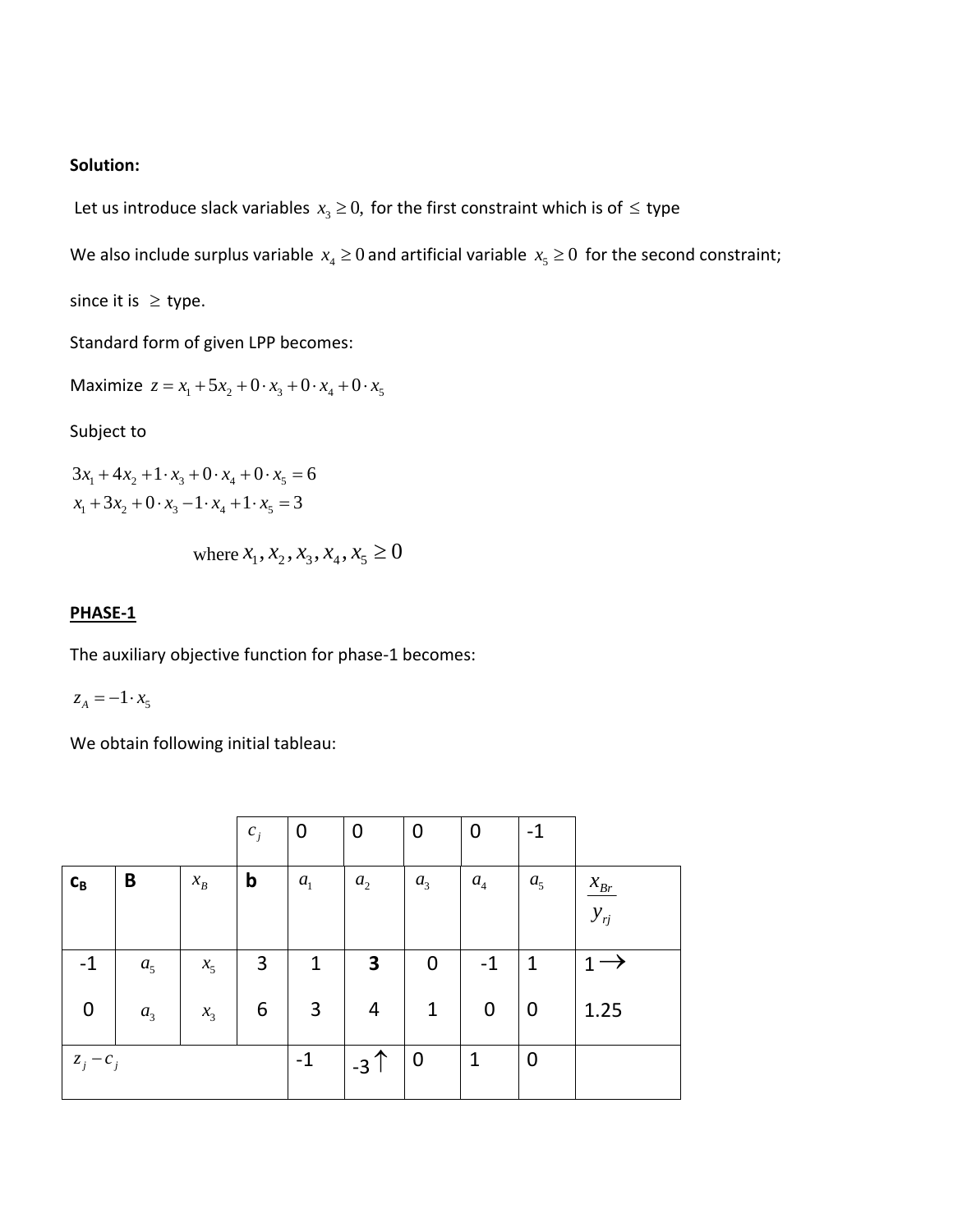#### **Solution:**

Let us introduce slack variables  $x_3 \geq 0$ , for the first constraint which is of  $\leq$  type

We also include surplus variable  $x_4 \ge 0$  and artificial variable  $x_5 \ge 0$  for the second constraint;

since it is  $\geq$  type.

Standard form of given LPP becomes:

Maximize  $z = x_1 + 5x_2 + 0 \cdot x_3 + 0 \cdot x_4 + 0 \cdot x_5$ 

#### Subject to

 $3x_1 + 4x_2 + 1 \cdot x_3 + 0 \cdot x_4 + 0 \cdot x_5 = 6$  $x_1 + 3x_2 + 0 \cdot x_3 - 1 \cdot x_4 + 1 \cdot x_5 = 3$ 

where 
$$
x_1, x_2, x_3, x_4, x_5 \ge 0
$$

#### **PHASE‐1**

The auxiliary objective function for phase‐1 becomes:

 $z_A = -1 \cdot x_5$ 

We obtain following initial tableau:

|                  |                |                 | $c_j$          | $\boldsymbol{0}$ | $\overline{0}$          | 0                | 0                | $-1$             |                    |
|------------------|----------------|-----------------|----------------|------------------|-------------------------|------------------|------------------|------------------|--------------------|
| $C_B$            | B              | $\mathcal{X}_B$ | $\mathbf b$    | a <sub>1</sub>   | a <sub>2</sub>          | a <sub>3</sub>   | $\mathfrak{a}_4$ | a <sub>5</sub>   | $\mathcal{X}_{Br}$ |
|                  |                |                 |                |                  |                         |                  |                  |                  | $y_{rj}$           |
| $-1$             | a <sub>5</sub> | $x_{5}$         | $\overline{3}$ | $\mathbf{1}$     | $\overline{\mathbf{3}}$ | $\boldsymbol{0}$ | $-1$             | 1                | 1<br>$\rightarrow$ |
| $\boldsymbol{0}$ | a <sub>3</sub> | $x_3$           | 6              | 3                | $\overline{4}$          | $\mathbf{1}$     | $\pmb{0}$        | $\boldsymbol{0}$ | 1.25               |
| $z_j - c_j$      |                |                 |                | $-1$             | $-3$                    | $\boldsymbol{0}$ | $\mathbf{1}$     | $\mathbf 0$      |                    |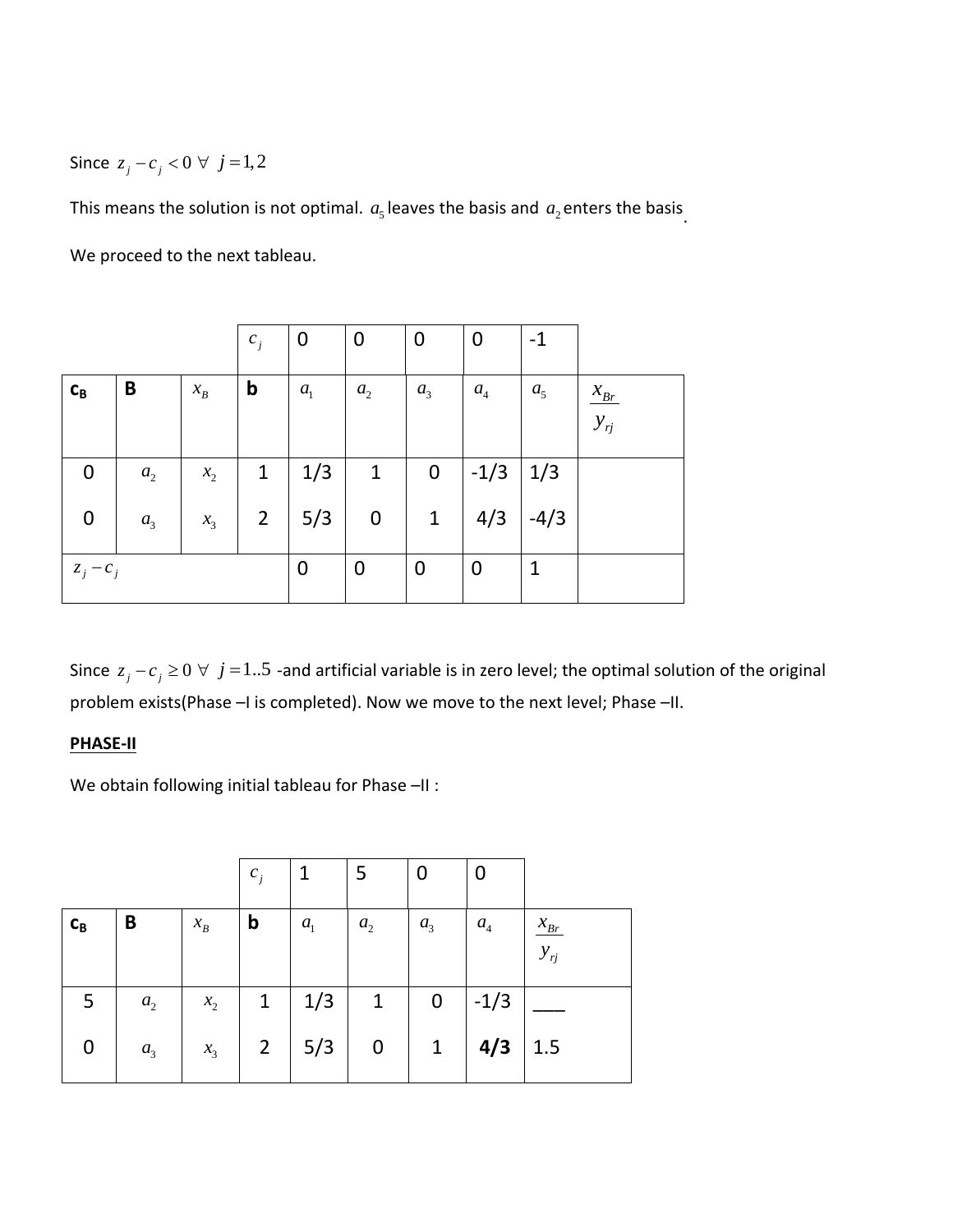Since  $z_j - c_j < 0 \ \forall \ j = 1, 2$ 

This means the solution is not optimal.  $a<sub>s</sub>$  leaves the basis and  $a<sub>2</sub>$  enters the basis.

We proceed to the next tableau.

|             |                |                 | $c_j$          | $\boldsymbol{0}$ | $\boldsymbol{0}$ | $\boldsymbol{0}$ | 0                | $-1$           |                         |
|-------------|----------------|-----------------|----------------|------------------|------------------|------------------|------------------|----------------|-------------------------|
| $c_{B}$     | B              | $\mathcal{X}_B$ | $\mathbf b$    | a <sub>1</sub>   | a <sub>2</sub>   | a <sub>3</sub>   | $a_4$            | a <sub>5</sub> | $\chi_{Br}$<br>$y_{rj}$ |
| 0           | $a_{2}$        | $x_{2}$         | $\mathbf 1$    | 1/3              | $\mathbf{1}$     | $\mathbf 0$      | $-1/3$           | 1/3            |                         |
| 0           | a <sub>3</sub> | $x_3$           | $\overline{2}$ | 5/3              | $\bf{0}$         | $\mathbf{1}$     | 4/3              | $-4/3$         |                         |
| $z_j - c_j$ |                |                 |                | $\boldsymbol{0}$ | $\mathbf 0$      | $\mathbf 0$      | $\boldsymbol{0}$ | 1              |                         |

Since  $z_j - c_j \ge 0 \forall j = 1..5$  -and artificial variable is in zero level; the optimal solution of the original problem exists(Phase -I is completed). Now we move to the next level; Phase -II.

#### **PHASE‐II**

We obtain following initial tableau for Phase -II :

|         |                |                 | $c_j$          |         | 5            | 0                | U                |                                |
|---------|----------------|-----------------|----------------|---------|--------------|------------------|------------------|--------------------------------|
| $c_{B}$ | B              | $\mathcal{X}_B$ | $\mathbf b$    | $a_{1}$ | $a_{2}$      | a <sub>3</sub>   | $\mathfrak{a}_4$ | $\mathcal{X}_{Br}$<br>$y_{rj}$ |
| 5       | a <sub>2</sub> | $x_2$           | $\mathbf{1}$   | 1/3     | $\mathbf{1}$ | $\boldsymbol{0}$ | $-1/3$           |                                |
| 0       | a <sub>3</sub> | $x_3$           | $\overline{2}$ | 5/3     | 0            | $\mathbf{1}$     | 4/3              | 1.5                            |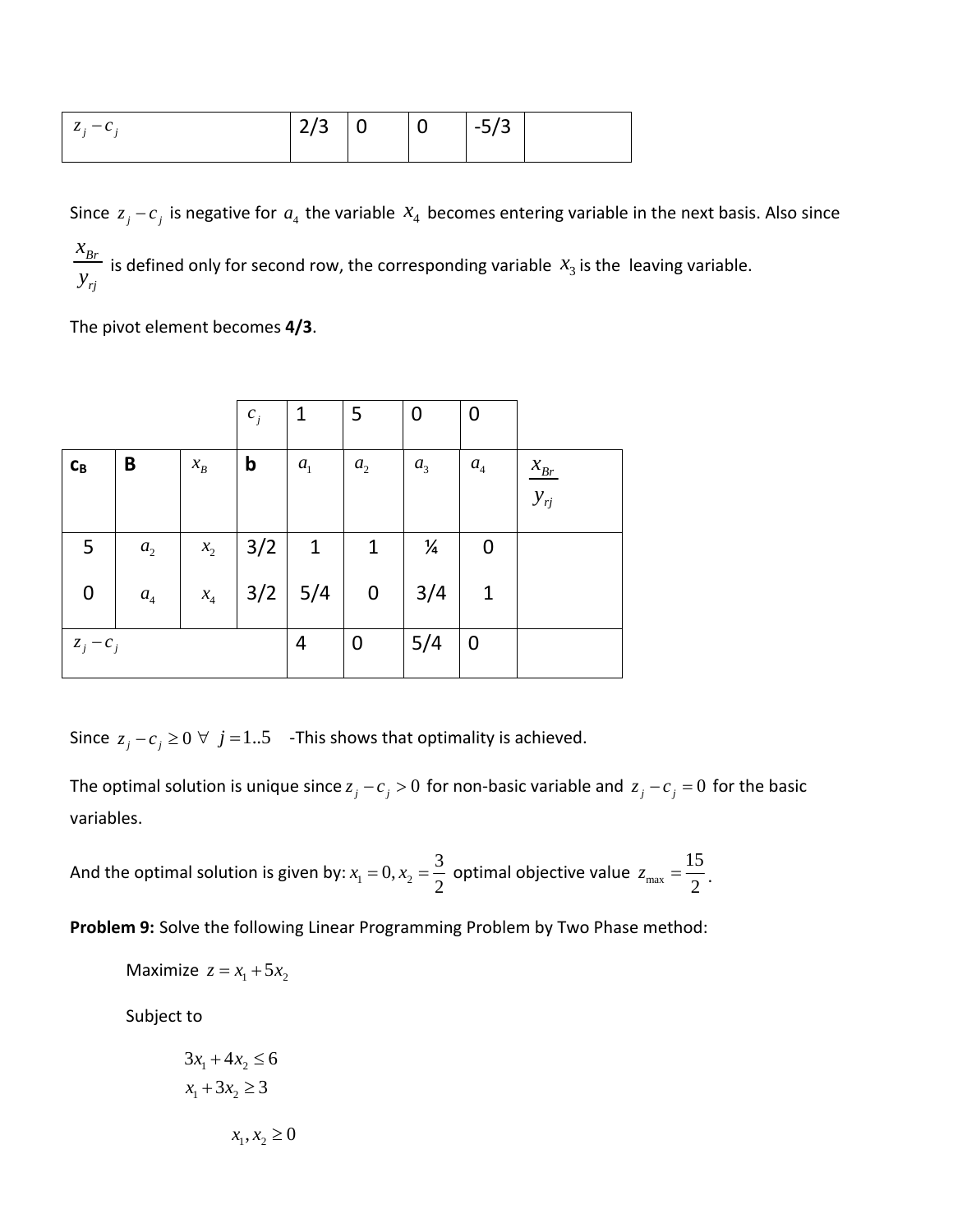| $z_i - c$ | $\vert 2/3 \vert 0 \vert$ | $\overline{0}$ | $-5/3$ |  |
|-----------|---------------------------|----------------|--------|--|
|           |                           |                |        |  |

Since  $z_j - c_j$  is negative for  $a_4$  the variable  $x_4$  becomes entering variable in the next basis. Also since *Br rj x*  $\frac{v_{Br}}{v_{Fi}}$  is defined only for second row, the corresponding variable  $x_3$  is the leaving variable.

The pivot element becomes **4/3**.

|             |                    |                 | $c_j$       | $\mathbf{1}$ | 5                | 0             | 0                |                                          |
|-------------|--------------------|-----------------|-------------|--------------|------------------|---------------|------------------|------------------------------------------|
| $c_{B}$     | B                  | $\mathcal{X}_B$ | $\mathbf b$ | $a_{1}$      | $a_{2}$          | $a_{3}$       | $\mathfrak{a}_4$ | $\frac{\mathcal{X}_{Br}}{2}$<br>$y_{rj}$ |
| 5           | a <sub>2</sub>     | $x_2$           | 3/2         | $\mathbf{1}$ | $\mathbf{1}$     | $\frac{1}{4}$ | 0                |                                          |
| 0           | $\boldsymbol{a}_4$ | $\mathcal{X}_4$ | 3/2         | 5/4          | $\boldsymbol{0}$ | 3/4           | 1                |                                          |
| $z_j - c_j$ |                    |                 |             | 4            | 0                | 5/4           | $\boldsymbol{0}$ |                                          |

Since  $z_j - c_j \ge 0 \ \forall \ j = 1..5$  -This shows that optimality is achieved.

The optimal solution is unique since  $z_j - c_j > 0$  for non-basic variable and  $z_j - c_j = 0$  for the basic variables.

And the optimal solution is given by:  $x_1 = 0, x_2 = \frac{3}{2}$  optimal objective value  $z_{\text{max}} = \frac{15}{2}$ . 15 2  $z_{\rm max}$  =

**Problem 9:** Solve the following Linear Programming Problem by Two Phase method:

$$
Maximize z = x_1 + 5x_2
$$

Subject to

$$
3x_1 + 4x_2 \le 6
$$
  

$$
x_1 + 3x_2 \ge 3
$$
  

$$
x_1, x_2 \ge 0
$$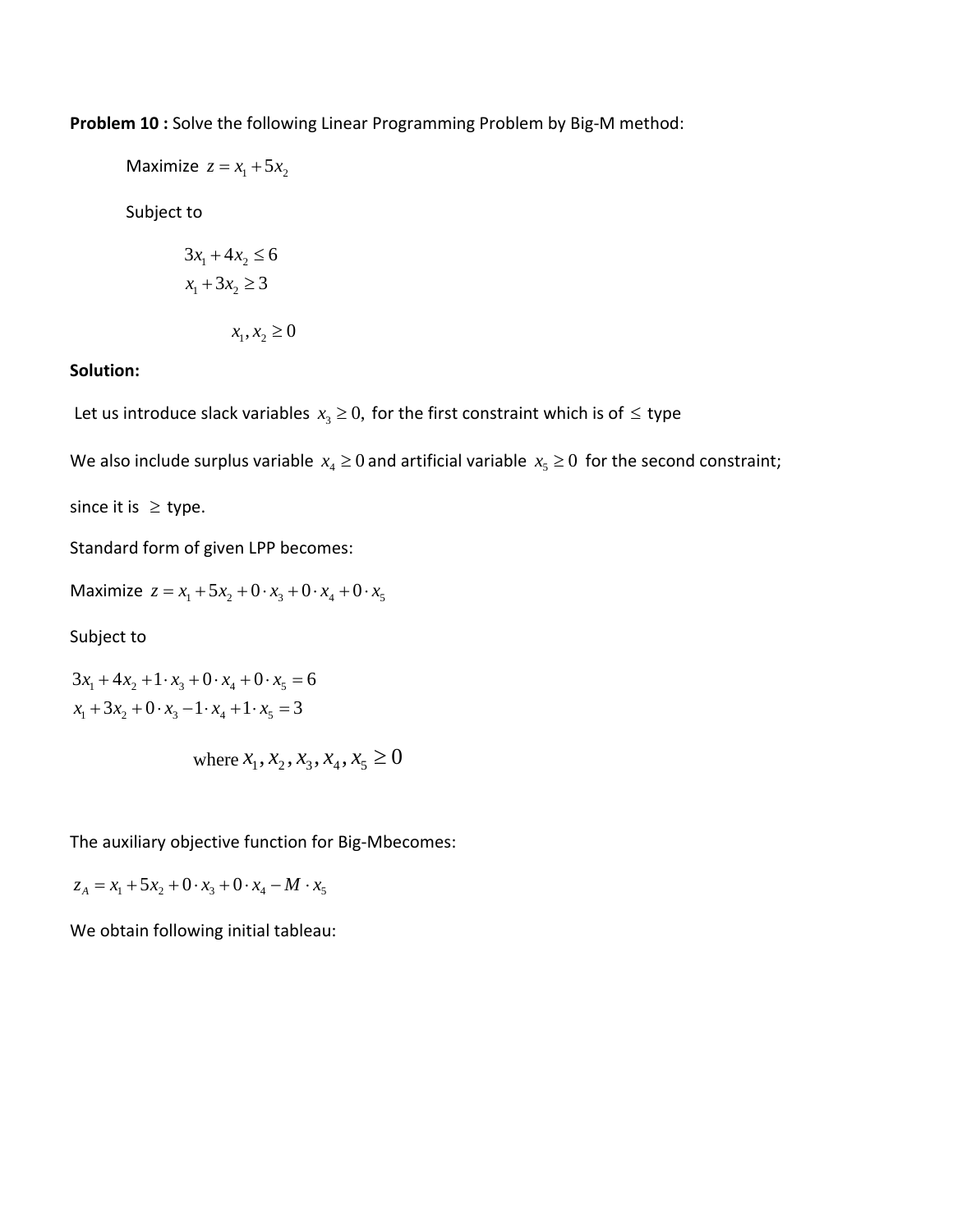**Problem 10 :** Solve the following Linear Programming Problem by Big‐M method:

Maximize  $z = x_1 + 5x_2$ 

Subject to

$$
3x1 + 4x2 \le 6
$$

$$
x1 + 3x2 \ge 3
$$

$$
x1, x2 \ge 0
$$

### **Solution:**

Let us introduce slack variables  $x_3 \geq 0$ , for the first constraint which is of  $\leq$  type

We also include surplus variable  $x_4 \ge 0$  and artificial variable  $x_5 \ge 0$  for the second constraint;

since it is  $\geq$  type.

Standard form of given LPP becomes:

Maximize  $z = x_1 + 5x_2 + 0 \cdot x_3 + 0 \cdot x_4 + 0 \cdot x_5$ 

Subject to

$$
3x_1 + 4x_2 + 1 \cdot x_3 + 0 \cdot x_4 + 0 \cdot x_5 = 6
$$
  

$$
x_1 + 3x_2 + 0 \cdot x_3 - 1 \cdot x_4 + 1 \cdot x_5 = 3
$$

where 
$$
x_1, x_2, x_3, x_4, x_5 \ge 0
$$

The auxiliary objective function for Big‐Mbecomes:

$$
z_{A} = x_{1} + 5x_{2} + 0 \cdot x_{3} + 0 \cdot x_{4} - M \cdot x_{5}
$$

We obtain following initial tableau: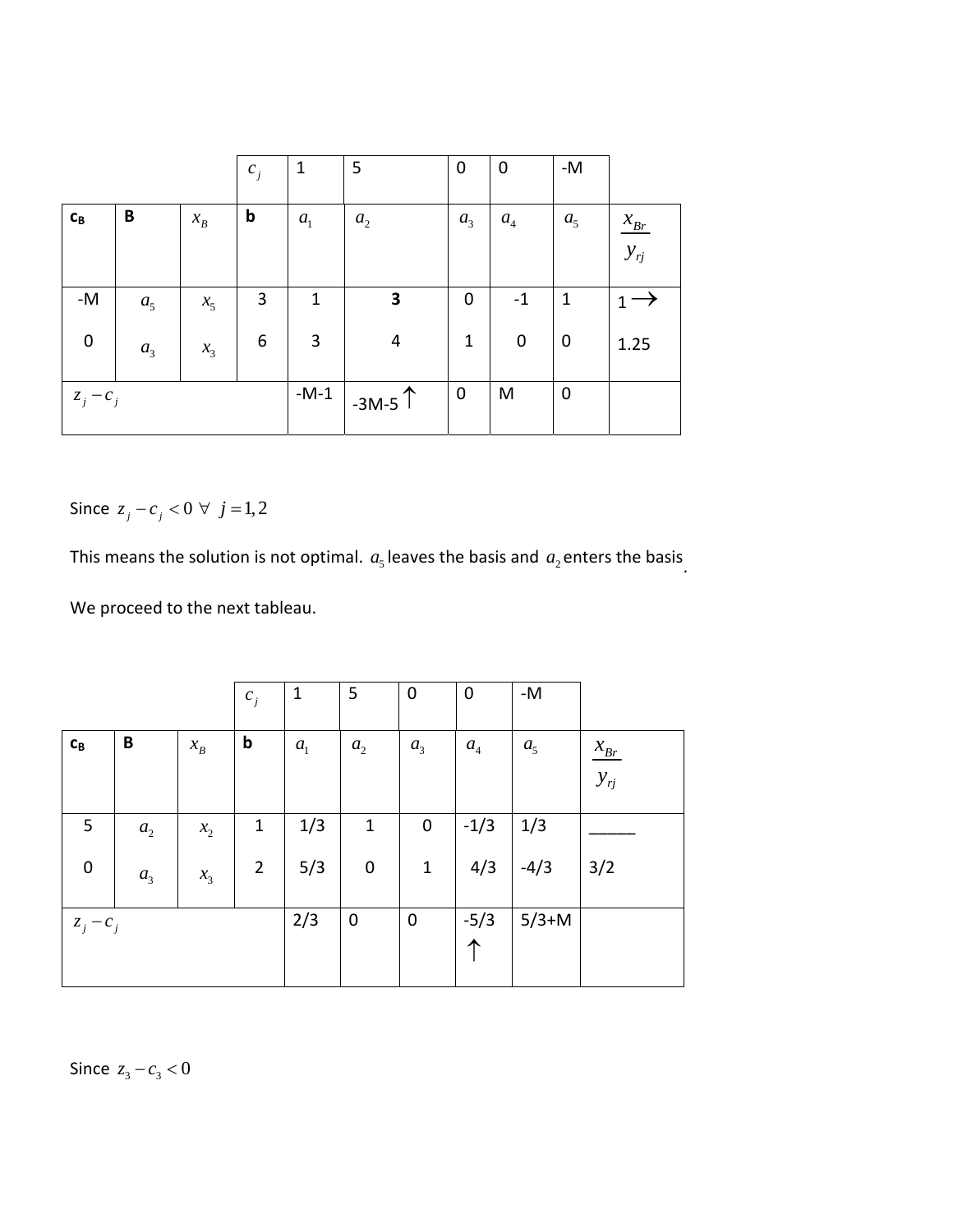|                         |                |                 | $c_j$       | $\mathbf{1}$   | 5              | $\mathbf 0$    | $\mathbf 0$ | $\text{-}\mathsf{M}$ |                    |
|-------------------------|----------------|-----------------|-------------|----------------|----------------|----------------|-------------|----------------------|--------------------|
| $\mathbf{c}_\mathbf{B}$ | B              | $\mathcal{X}_B$ | $\mathbf b$ | a <sub>1</sub> | a <sub>2</sub> | a <sub>3</sub> | $a_4$       | a <sub>5</sub>       | $\mathcal{X}_{Br}$ |
|                         |                |                 |             |                |                |                |             |                      | $y_{rj}$           |
| $\mathsf{-M}$           | a <sub>5</sub> | $x_{5}$         | 3           | $\mathbf{1}$   | 3              | $\mathbf 0$    | $-1$        | $\mathbf{1}$         |                    |
| $\pmb{0}$               | a <sub>3</sub> | $x_3$           | 6           | $\overline{3}$ | 4              | $\mathbf{1}$   | $\pmb{0}$   | $\mathbf 0$          | 1.25               |
| $z_j - c_j$             |                |                 |             | $-M-1$         | $-3M-5$        | $\overline{0}$ | M           | $\mathbf 0$          |                    |

Since  $z_j - c_j < 0 \ \forall \ j = 1, 2$ 

This means the solution is not optimal.  $a<sub>5</sub>$  leaves the basis and  $a<sub>2</sub>$  enters the basis.

We proceed to the next tableau.

|                           |                |                 | $c_j$          | $\mathbf{1}$   | 5              | $\boldsymbol{0}$ | 0                | -M             |          |
|---------------------------|----------------|-----------------|----------------|----------------|----------------|------------------|------------------|----------------|----------|
| $\mathbf{C}_{\mathbf{B}}$ | B              | $\mathcal{X}_B$ | b              | a <sub>1</sub> | a <sub>2</sub> | a <sub>3</sub>   | $\mathfrak{a}_4$ | a <sub>5</sub> | $x_{Br}$ |
|                           |                |                 |                |                |                |                  |                  |                | $y_{rj}$ |
| 5                         | $a_{2}$        | $x_{2}$         | $\mathbf{1}$   | 1/3            | $\mathbf{1}$   | $\pmb{0}$        | $-1/3$           | 1/3            |          |
| $\mathbf 0$               | a <sub>3</sub> | $x_3$           | $\overline{2}$ | 5/3            | $\mathbf 0$    | $\mathbf 1$      | 4/3              | $-4/3$         | 3/2      |
| $z_j - c_j$               |                |                 |                | 2/3            | $\mathbf 0$    | $\pmb{0}$        | $-5/3$<br>↑      | $5/3+M$        |          |

Since  $z_3 - c_3 < 0$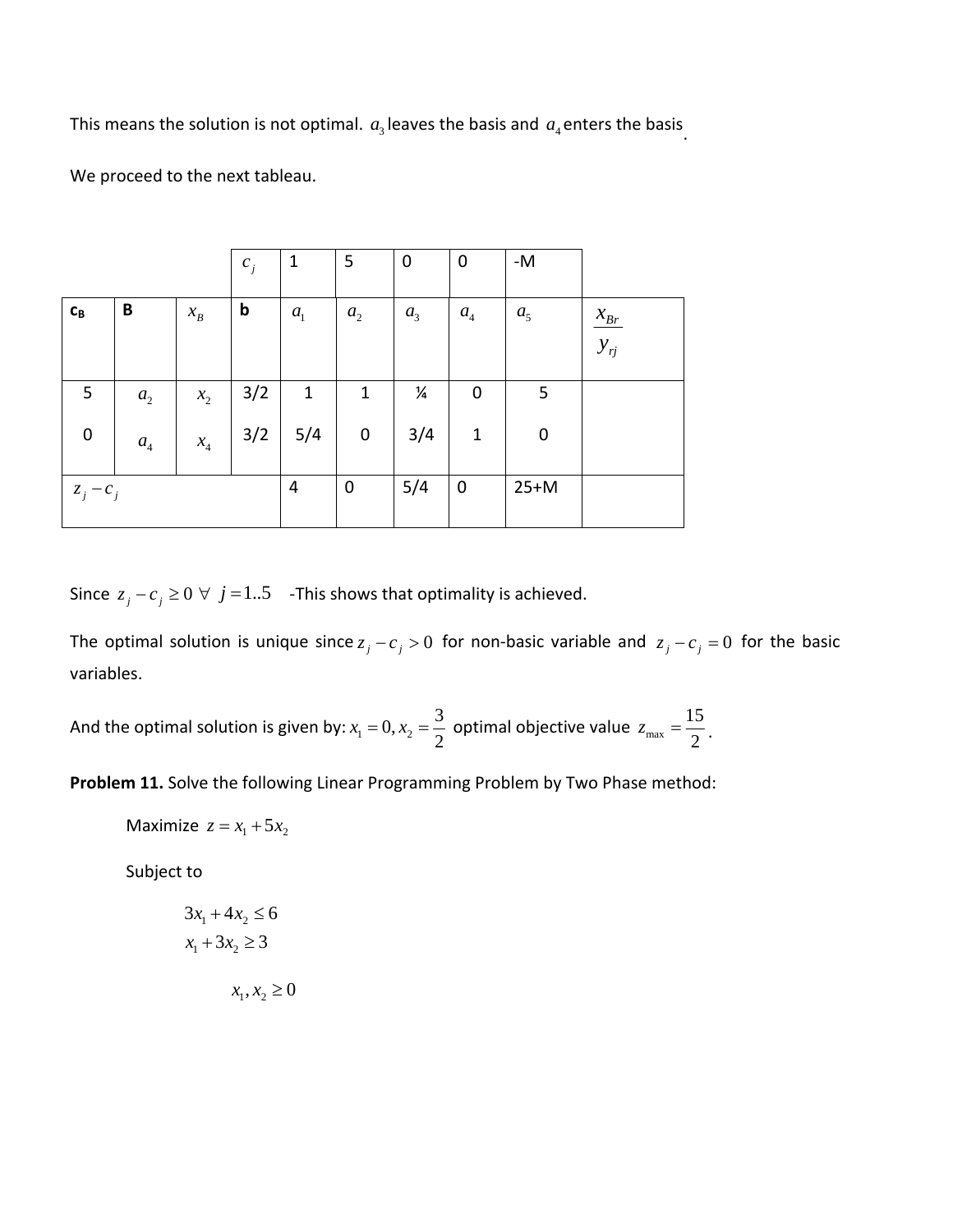This means the solution is not optimal.  $a_3$  leaves the basis and  $a_4$  enters the basis.

We proceed to the next tableau.

|                         |                  |                            | $c_j$ | $\mathbf{1}$   | 5            | $\boldsymbol{0}$ | 0                  | $-M$           |          |
|-------------------------|------------------|----------------------------|-------|----------------|--------------|------------------|--------------------|----------------|----------|
| $\mathbf{c}_\mathbf{B}$ | B                | $\mathcal{X}_B$            | b     | a <sub>1</sub> | $a_{2}$      | a <sub>3</sub>   | $\boldsymbol{a}_4$ | a <sub>5</sub> | $x_{Br}$ |
|                         |                  |                            |       |                |              |                  |                    |                | $y_{rj}$ |
| 5                       | $a_{2}$          | $x_{2}$                    | 3/2   | $\mathbf{1}$   | $\mathbf{1}$ | ¼                | $\mathbf 0$        | 5              |          |
| $\boldsymbol{0}$        | $\mathfrak{a}_4$ | $x_{\scriptscriptstyle 4}$ | 3/2   | 5/4            | $\pmb{0}$    | 3/4              | $\mathbf{1}$       | $\pmb{0}$      |          |
| $z_j - c_j$             |                  |                            |       | $\overline{4}$ | $\mathbf 0$  | 5/4              | $\mathbf 0$        | $25+M$         |          |

Since  $z_j - c_j \ge 0 \ \forall \ j = 1..5$  -This shows that optimality is achieved.

The optimal solution is unique since  $z_j - c_j > 0$  for non-basic variable and  $z_j - c_j = 0$  for the basic variables.

And the optimal solution is given by: 
$$
x_1 = 0
$$
,  $x_2 = \frac{3}{2}$  optimal objective value  $z_{max} = \frac{15}{2}$ .

**Problem 11.** Solve the following Linear Programming Problem by Two Phase method:

Maximize  $z = x_1 + 5x_2$ 

Subject to

$$
3x_1 + 4x_2 \le 6
$$
  

$$
x_1 + 3x_2 \ge 3
$$
  

$$
x_1, x_2 \ge 0
$$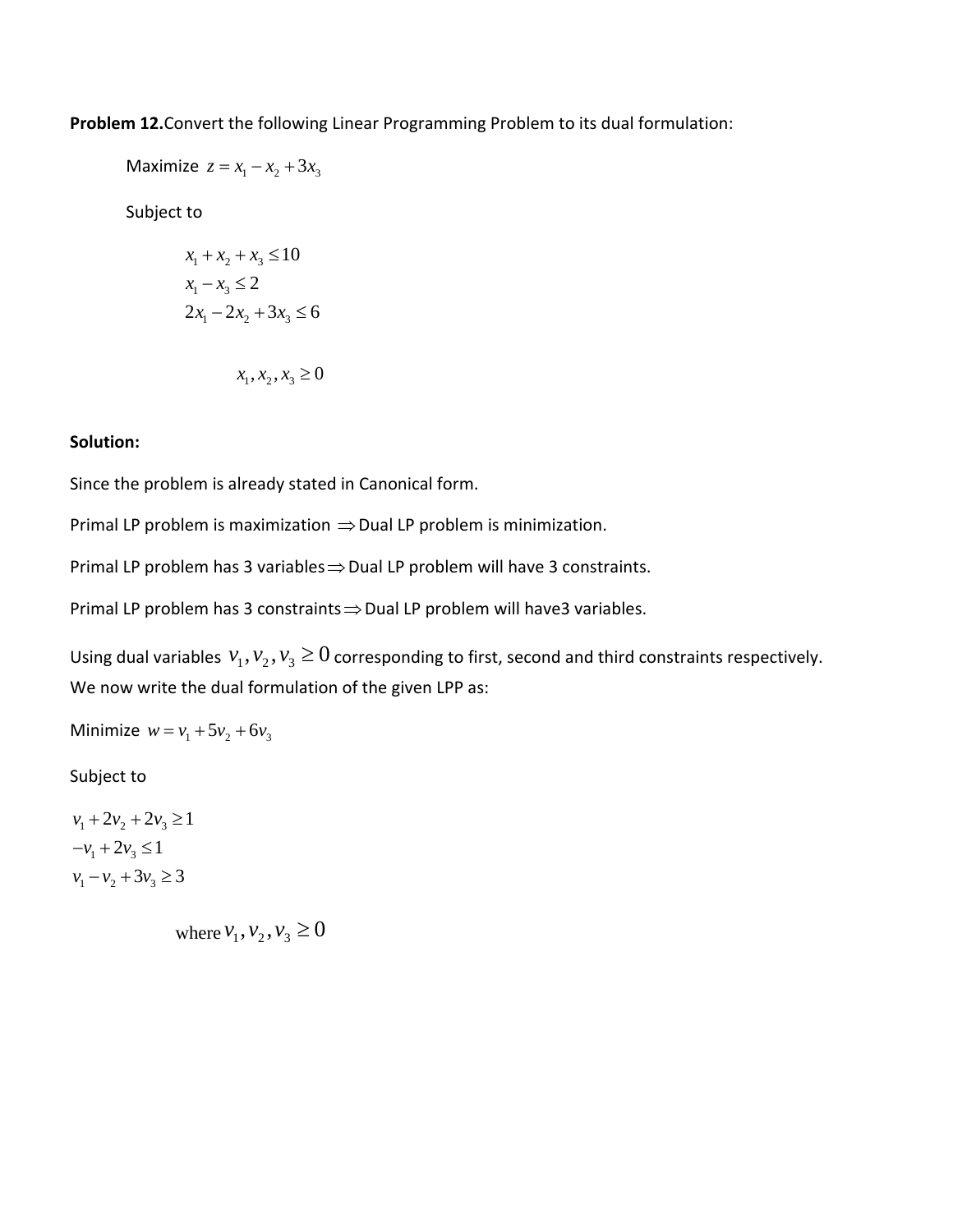**Problem 12.**Convert the following Linear Programming Problem to its dual formulation:

Maximize  $z = x_1 - x_2 + 3x_3$ 

Subject to

$$
x_1 + x_2 + x_3 \le 10
$$
  

$$
x_1 - x_3 \le 2
$$
  

$$
2x_1 - 2x_2 + 3x_3 \le 6
$$

$$
x_1, x_2, x_3 \ge 0
$$

#### **Solution:**

Since the problem is already stated in Canonical form.

Primal LP problem is maximization  $\Rightarrow$  Dual LP problem is minimization.

Primal LP problem has 3 variables  $\Rightarrow$  Dual LP problem will have 3 constraints.

Primal LP problem has 3 constraints  $\Rightarrow$  Dual LP problem will have3 variables.

Using dual variables  $v_1, v_2, v_3 \ge 0$  corresponding to first, second and third constraints respectively. We now write the dual formulation of the given LPP as:

Minimize  $w = v_1 + 5v_2 + 6v_3$ 

Subject to

 $v_1 + 2v_2 + 2v_3 \ge 1$  $-v_1 + 2v_3 \leq 1$  $v_1 - v_2 + 3v_3 \ge 3$ 

where  $v_1, v_2, v_3 \ge 0$